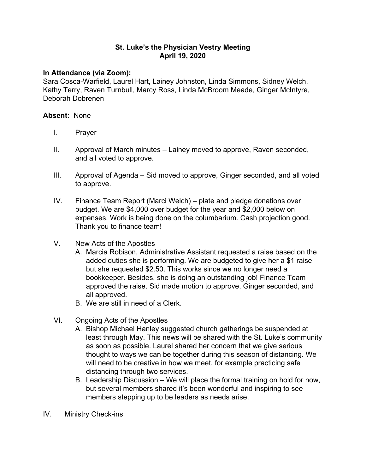## **St. Luke's the Physician Vestry Meeting April 19, 2020**

## **In Attendance (via Zoom):**

Sara Cosca-Warfield, Laurel Hart, Lainey Johnston, Linda Simmons, Sidney Welch, Kathy Terry, Raven Turnbull, Marcy Ross, Linda McBroom Meade, Ginger McIntyre, Deborah Dobrenen

## **Absent:** None

- I. Prayer
- II. Approval of March minutes Lainey moved to approve, Raven seconded, and all voted to approve.
- III. Approval of Agenda Sid moved to approve, Ginger seconded, and all voted to approve.
- IV. Finance Team Report (Marci Welch) plate and pledge donations over budget. We are \$4,000 over budget for the year and \$2,000 below on expenses. Work is being done on the columbarium. Cash projection good. Thank you to finance team!
- V. New Acts of the Apostles
	- A. Marcia Robison, Administrative Assistant requested a raise based on the added duties she is performing. We are budgeted to give her a \$1 raise but she requested \$2.50. This works since we no longer need a bookkeeper. Besides, she is doing an outstanding job! Finance Team approved the raise. Sid made motion to approve, Ginger seconded, and all approved.
	- B. We are still in need of a Clerk.
- VI. Ongoing Acts of the Apostles
	- A. Bishop Michael Hanley suggested church gatherings be suspended at least through May. This news will be shared with the St. Luke's community as soon as possible. Laurel shared her concern that we give serious thought to ways we can be together during this season of distancing. We will need to be creative in how we meet, for example practicing safe distancing through two services.
	- B. Leadership Discussion We will place the formal training on hold for now, but several members shared it's been wonderful and inspiring to see members stepping up to be leaders as needs arise.
- IV. Ministry Check-ins